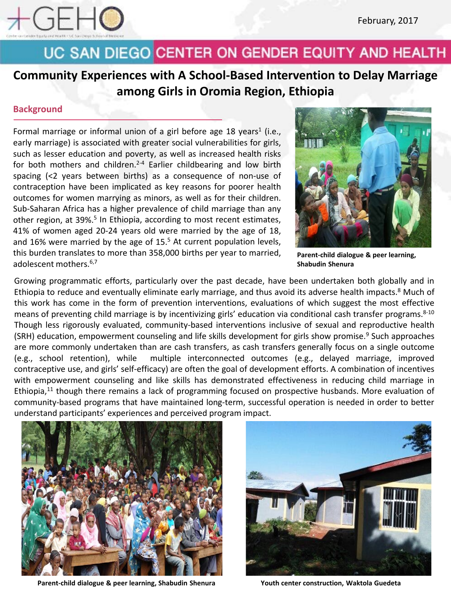

**Community Experiences with A School-Based Intervention to Delay Marriage among Girls in Oromia Region, Ethiopia**

### **Background**

Formal marriage or informal union of a girl before age 18 years<sup>1</sup> (i.e., early marriage) is associated with greater social vulnerabilities for girls, such as lesser education and poverty, as well as increased health risks for both mothers and children.<sup>2-4</sup> Earlier childbearing and low birth spacing (<2 years between births) as a consequence of non-use of contraception have been implicated as key reasons for poorer health outcomes for women marrying as minors, as well as for their children. Sub-Saharan Africa has a higher prevalence of child marriage than any other region, at 39%. <sup>5</sup> In Ethiopia, according to most recent estimates, 41% of women aged 20-24 years old were married by the age of 18, and 16% were married by the age of 15. <sup>5</sup> At current population levels, this burden translates to more than 358,000 births per year to married, adolescent mothers. 6,7



**Parent-child dialogue & peer learning, Shabudin Shenura**

Growing programmatic efforts, particularly over the past decade, have been undertaken both globally and in Ethiopia to reduce and eventually eliminate early marriage, and thus avoid its adverse health impacts.<sup>8</sup> Much of this work has come in the form of prevention interventions, evaluations of which suggest the most effective means of preventing child marriage is by incentivizing girls' education via conditional cash transfer programs. 8-10 Though less rigorously evaluated, community-based interventions inclusive of sexual and reproductive health (SRH) education, empowerment counseling and life skills development for girls show promise. <sup>9</sup> Such approaches are more commonly undertaken than are cash transfers, as cash transfers generally focus on a single outcome (e.g., school retention), while multiple interconnected outcomes (e.g., delayed marriage, improved contraceptive use, and girls' self-efficacy) are often the goal of development efforts. A combination of incentives with empowerment counseling and like skills has demonstrated effectiveness in reducing child marriage in Ethiopia,<sup>11</sup> though there remains a lack of programming focused on prospective husbands. More evaluation of community-based programs that have maintained long-term, successful operation is needed in order to better understand participants' experiences and perceived program impact.



**Parent-child dialogue & peer learning, Shabudin Shenura Youth center construction, Waktola Guedeta**

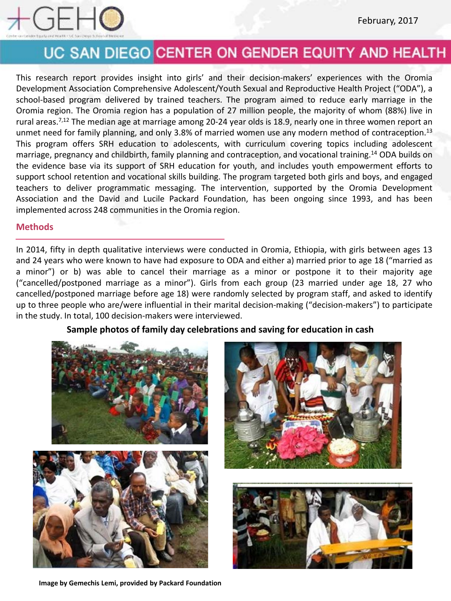

This research report provides insight into girls' and their decision-makers' experiences with the Oromia Development Association Comprehensive Adolescent/Youth Sexual and Reproductive Health Project ("ODA"), a school-based program delivered by trained teachers. The program aimed to reduce early marriage in the Oromia region. The Oromia region has a population of 27 million people, the majority of whom (88%) live in rural areas.<sup>7,12</sup> The median age at marriage among 20-24 year olds is 18.9, nearly one in three women report an unmet need for family planning, and only 3.8% of married women use any modern method of contraception.<sup>13</sup> This program offers SRH education to adolescents, with curriculum covering topics including adolescent marriage, pregnancy and childbirth, family planning and contraception, and vocational training. <sup>14</sup> ODA builds on the evidence base via its support of SRH education for youth, and includes youth empowerment efforts to support school retention and vocational skills building. The program targeted both girls and boys, and engaged teachers to deliver programmatic messaging. The intervention, supported by the Oromia Development Association and the David and Lucile Packard Foundation, has been ongoing since 1993, and has been implemented across 248 communities in the Oromia region.

#### **Methods**

In 2014, fifty in depth qualitative interviews were conducted in Oromia, Ethiopia, with girls between ages 13 and 24 years who were known to have had exposure to ODA and either a) married prior to age 18 ("married as a minor") or b) was able to cancel their marriage as a minor or postpone it to their majority age ("cancelled/postponed marriage as a minor"). Girls from each group (23 married under age 18, 27 who cancelled/postponed marriage before age 18) were randomly selected by program staff, and asked to identify up to three people who are/were influential in their marital decision-making ("decision-makers") to participate in the study. In total, 100 decision-makers were interviewed.

### **Sample photos of family day celebrations and saving for education in cash**







**Image by Gemechis Lemi, provided by Packard Foundation**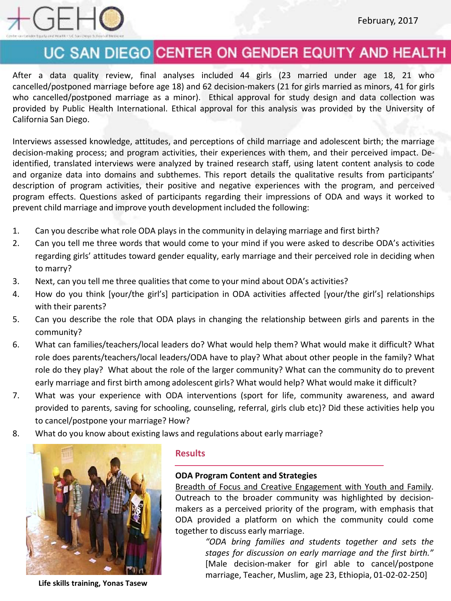

After a data quality review, final analyses included 44 girls (23 married under age 18, 21 who cancelled/postponed marriage before age 18) and 62 decision-makers (21 for girls married as minors, 41 for girls who cancelled/postponed marriage as a minor). Ethical approval for study design and data collection was provided by Public Health International. Ethical approval for this analysis was provided by the University of California San Diego.

Interviews assessed knowledge, attitudes, and perceptions of child marriage and adolescent birth; the marriage decision-making process; and program activities, their experiences with them, and their perceived impact. Deidentified, translated interviews were analyzed by trained research staff, using latent content analysis to code and organize data into domains and subthemes. This report details the qualitative results from participants' description of program activities, their positive and negative experiences with the program, and perceived program effects. Questions asked of participants regarding their impressions of ODA and ways it worked to prevent child marriage and improve youth development included the following:

- 1. Can you describe what role ODA plays in the community in delaying marriage and first birth?
- 2. Can you tell me three words that would come to your mind if you were asked to describe ODA's activities regarding girls' attitudes toward gender equality, early marriage and their perceived role in deciding when to marry?
- 3. Next, can you tell me three qualities that come to your mind about ODA's activities?
- 4. How do you think [your/the girl's] participation in ODA activities affected [your/the girl's] relationships with their parents?
- 5. Can you describe the role that ODA plays in changing the relationship between girls and parents in the community?
- 6. What can families/teachers/local leaders do? What would help them? What would make it difficult? What role does parents/teachers/local leaders/ODA have to play? What about other people in the family? What role do they play? What about the role of the larger community? What can the community do to prevent early marriage and first birth among adolescent girls? What would help? What would make it difficult?
- 7. What was your experience with ODA interventions (sport for life, community awareness, and award provided to parents, saving for schooling, counseling, referral, girls club etc)? Did these activities help you to cancel/postpone your marriage? How?
- 8. What do you know about existing laws and regulations about early marriage?



**Life skills training, Yonas Tasew**

### **Results**

#### **ODA Program Content and Strategies**

Breadth of Focus and Creative Engagement with Youth and Family. Outreach to the broader community was highlighted by decisionmakers as a perceived priority of the program, with emphasis that ODA provided a platform on which the community could come together to discuss early marriage.

> *"ODA bring families and students together and sets the stages for discussion on early marriage and the first birth."* [Male decision-maker for girl able to cancel/postpone marriage, Teacher, Muslim, age 23, Ethiopia, 01-02-02-250]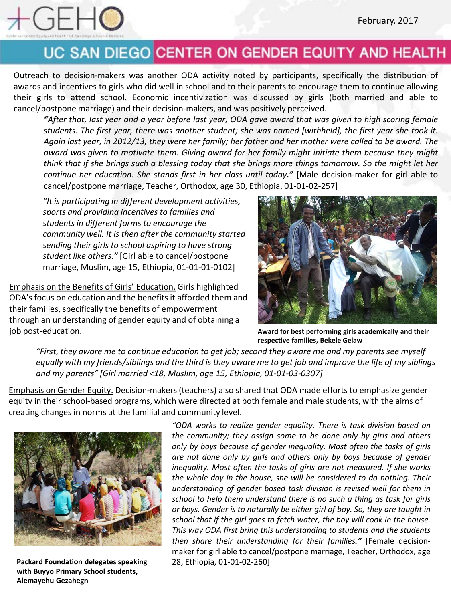

Outreach to decision-makers was another ODA activity noted by participants, specifically the distribution of awards and incentives to girls who did well in school and to their parents to encourage them to continue allowing their girls to attend school. Economic incentivization was discussed by girls (both married and able to cancel/postpone marriage) and their decision-makers, and was positively perceived.

"After that, last year and a year before last year, ODA gave award that was given to high scoring female students. The first year, there was another student; she was named [withheld], the first year she took it. Again last year, in 2012/13, they were her family; her father and her mother were called to be award. The *award was given to motivate them. Giving award for her family might initiate them because they might* think that if she brings such a blessing today that she brings more things tomorrow. So the might let her *continue her education. She stands first in her class until today."* [Male decision-maker for girl able to cancel/postpone marriage, Teacher, Orthodox, age 30, Ethiopia, 01-01-02-257]

*"It is participating in different development activities, sports and providing incentives to families and students in different forms to encourage the community well. It is then after the community started sending their girls to school aspiring to have strong student like others."* [Girl able to cancel/postpone marriage, Muslim, age 15, Ethiopia, 01-01-01-0102]

Emphasis on the Benefits of Girls' Education. Girls highlighted ODA's focus on education and the benefits it afforded them and their families, specifically the benefits of empowerment through an understanding of gender equity and of obtaining a job post-education.



**Award for best performing girls academically and their respective families, Bekele Gelaw**

*"First, they aware me to continue education to get job; second they aware me and my parents see myself equally with my friends/siblings and the third is they aware me to get job and improve the life of my siblings and my parents" [Girl married <18, Muslim, age 15, Ethiopia, 01-01-03-0307]*

Emphasis on Gender Equity. Decision-makers (teachers) also shared that ODA made efforts to emphasize gender equity in their school-based programs, which were directed at both female and male students, with the aims of creating changes in norms at the familial and community level.



**Packard Foundation delegates speaking** 28, Ethiopia, 01-01-02-260] **with Buyyo Primary School students, Alemayehu Gezahegn**

*"ODA works to realize gender equality. There is task division based on the community; they assign some to be done only by girls and others only by boys because of gender inequality. Most often the tasks of girls are not done only by girls and others only by boys because of gender inequality. Most often the tasks of girls are not measured. If she works the whole day in the house, she will be considered to do nothing. Their understanding of gender based task division is revised well for them in school to help them understand there is no such a thing as task for girls or boys. Gender is to naturally be either girl of boy. So, they are taught in school that if the girl goes to fetch water, the boy will cook in the house. This way ODA first bring this understanding to students and the students then share their understanding for their families."* [Female decisionmaker for girl able to cancel/postpone marriage, Teacher, Orthodox, age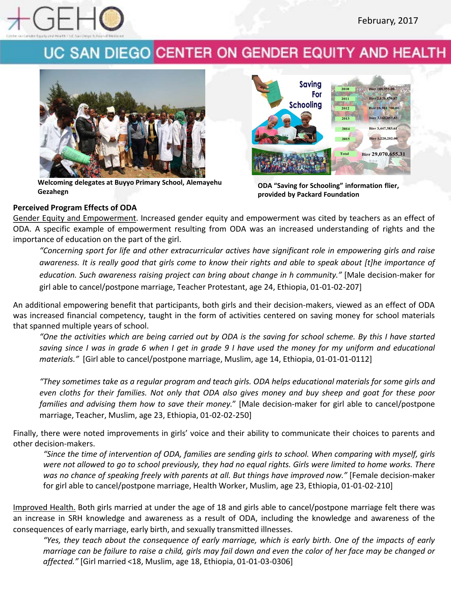



**Welcoming delegates at Buyyo Primary School, Alemayehu** Welcoming delegates at Buyyo Primary School, Alemayehu<br>Gezahegn<br>**Gezahegn** provided by Packard Foundation



**provided by Packard Foundation**

### **Perceived Program Effects of ODA**

Gender Equity and Empowerment. Increased gender equity and empowerment was cited by teachers as an effect of ODA. A specific example of empowerment resulting from ODA was an increased understanding of rights and the importance of education on the part of the girl.

*"Concerning sport for life and other extracurricular actives have significant role in empowering girls and raise* awareness. It is really good that girls come to know their rights and able to speak about [t]he importance of *education. Such awareness raising project can bring about change in h community."* [Male decision-maker for girl able to cancel/postpone marriage, Teacher Protestant, age 24, Ethiopia, 01-01-02-207]

An additional empowering benefit that participants, both girls and their decision-makers, viewed as an effect of ODA was increased financial competency, taught in the form of activities centered on saving money for school materials that spanned multiple years of school.

"One the activities which are being carried out by ODA is the saving for school scheme. By this I have started saving since I was in grade 6 when I get in grade 9 I have used the money for my uniform and educational *materials."* [Girl able to cancel/postpone marriage, Muslim, age 14, Ethiopia, 01-01-01-0112]

"They sometimes take as a regular program and teach girls. ODA helps educational materials for some girls and even cloths for their families. Not only that ODA also gives money and buy sheep and goat for these poor *families and advising them how to save their money.*" [Male decision-maker for girl able to cancel/postpone marriage, Teacher, Muslim, age 23, Ethiopia, 01-02-02-250]

Finally, there were noted improvements in girls' voice and their ability to communicate their choices to parents and other decision-makers.

"Since the time of intervention of ODA, families are sending girls to school. When comparing with myself, girls were not allowed to go to school previously, they had no equal rights. Girls were limited to home works. There *was no chance of speaking freely with parents at all. But things have improved now."* [Female decision-maker for girl able to cancel/postpone marriage, Health Worker, Muslim, age 23, Ethiopia, 01-01-02-210]

Improved Health. Both girls married at under the age of 18 and girls able to cancel/postpone marriage felt there was an increase in SRH knowledge and awareness as a result of ODA, including the knowledge and awareness of the consequences of early marriage, early birth, and sexually transmitted illnesses.

"Yes, they teach about the consequence of early marriage, which is early birth. One of the impacts of early marriage can be failure to raise a child, girls may fail down and even the color of her face may be changed or *affected."* [Girl married <18, Muslim, age 18, Ethiopia, 01-01-03-0306]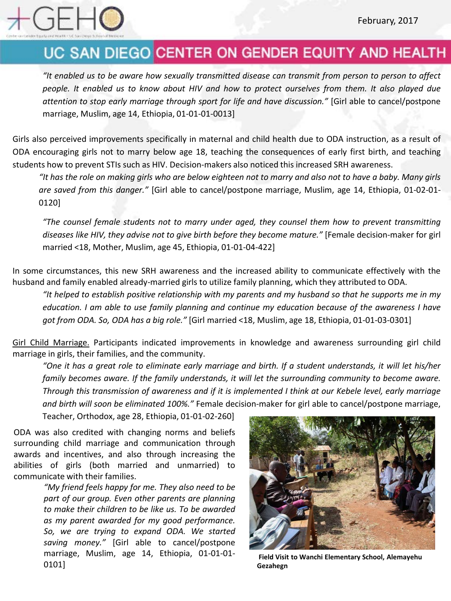

It enabled us to be aware how sexually transmitted disease can transmit from person to person to affect" people. It enabled us to know about HIV and how to protect ourselves from them. It also played due *attention to stop early marriage through sport for life and have discussion."* [Girl able to cancel/postpone marriage, Muslim, age 14, Ethiopia, 01-01-01-0013]

Girls also perceived improvements specifically in maternal and child health due to ODA instruction, as a result of ODA encouraging girls not to marry below age 18, teaching the consequences of early first birth, and teaching students how to prevent STIs such as HIV. Decision-makers also noticed this increased SRH awareness.

"It has the role on making girls who are below eighteen not to marry and also not to have a baby. Many girls *are saved from this danger."* [Girl able to cancel/postpone marriage, Muslim, age 14, Ethiopia, 01-02-01- 0120]

*"The counsel female students not to marry under aged, they counsel them how to prevent transmitting diseases like HIV, they advise not to give birth before they become mature."* [Female decision-maker for girl married <18, Mother, Muslim, age 45, Ethiopia, 01-01-04-422]

In some circumstances, this new SRH awareness and the increased ability to communicate effectively with the husband and family enabled already-married girls to utilize family planning, which they attributed to ODA.

"It helped to establish positive relationship with my parents and my husband so that he supports me in my education. I am able to use family planning and continue my education because of the awareness I have *got from ODA. So, ODA has a big role."* [Girl married <18, Muslim, age 18, Ethiopia, 01-01-03-0301]

Girl Child Marriage. Participants indicated improvements in knowledge and awareness surrounding girl child marriage in girls, their families, and the community.

"One it has a great role to eliminate early marriage and birth. If a student understands, it will let his/her *family becomes aware. If the family understands, it will let the surrounding community to become aware.* Through this transmission of awareness and if it is implemented I think at our Kebele level, early marriage *and birth will soon be eliminated 100%."* Female decision-maker for girl able to cancel/postpone marriage,

Teacher, Orthodox, age 28, Ethiopia, 01-01-02-260]

ODA was also credited with changing norms and beliefs surrounding child marriage and communication through awards and incentives, and also through increasing the abilities of girls (both married and unmarried) to communicate with their families.

> *"My friend feels happy for me. They also need to be part of our group. Even other parents are planning to make their children to be like us. To be awarded as my parent awarded for my good performance. So, we are trying to expand ODA. We started saving money."* [Girl able to cancel/postpone marriage, Muslim, age 14, Ethiopia, 01-01-01- 0101]



**Field Visit to Wanchi Elementary School, Alemayehu Gezahegn**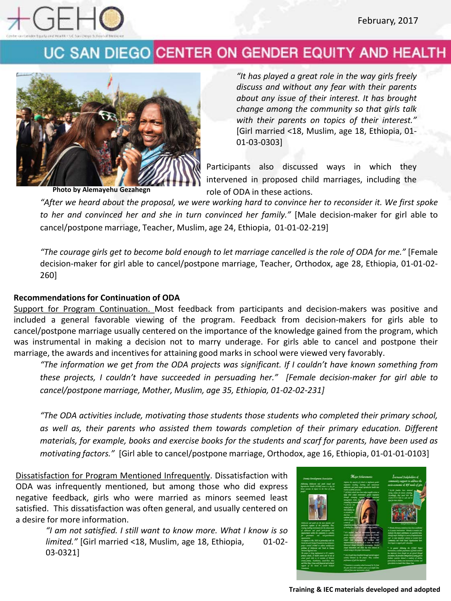



*"It has played a great role in the way girls freely discuss and without any fear with their parents about any issue of their interest. It has brought change among the community so that girls talk with their parents on topics of their interest."* [Girl married <18, Muslim, age 18, Ethiopia, 01- 01-03-0303]

Participants also discussed ways in which they intervened in proposed child marriages, including the **Photo by Alemayehu Gezahegn** role of ODA in these actions.

"After we heard about the proposal, we were working hard to convince her to reconsider it. We first spoke *to her and convinced her and she in turn convinced her family."* [Male decision-maker for girl able to cancel/postpone marriage, Teacher, Muslim, age 24, Ethiopia, 01-01-02-219]

"The courage girls get to become bold enough to let marriage cancelled is the role of ODA for me." [Female decision-maker for girl able to cancel/postpone marriage, Teacher, Orthodox, age 28, Ethiopia, 01-01-02- 260]

### **Recommendations for Continuation of ODA**

Support for Program Continuation. Most feedback from participants and decision-makers was positive and included a general favorable viewing of the program. Feedback from decision-makers for girls able to cancel/postpone marriage usually centered on the importance of the knowledge gained from the program, which was instrumental in making a decision not to marry underage. For girls able to cancel and postpone their marriage, the awards and incentives for attaining good marks in school were viewed very favorably.

*"The information we get from the ODA projects was significant. If I couldn't have known something from these projects, I couldn't have succeeded in persuading her." [Female decision-maker for girl able to cancel/postpone marriage, Mother, Muslim, age 35, Ethiopia, 01-02-02-231]*

*"The ODA activities include, motivating those students those students who completed their primary school, as well as, their parents who assisted them towards completion of their primary education. Different* materials, for example, books and exercise books for the students and scarf for parents, have been used as *motivating factors."* [Girl able to cancel/postpone marriage, Orthodox, age 16, Ethiopia, 01-01-01-0103]

Dissatisfaction for Program Mentioned Infrequently. Dissatisfaction with ODA was infrequently mentioned, but among those who did express negative feedback, girls who were married as minors seemed least satisfied. This dissatisfaction was often general, and usually centered on a desire for more information.

> *"I am not satisfied. I still want to know more. What I know is so limited."* [Girl married <18, Muslim, age 18, Ethiopia, 01-02- 03-0321]

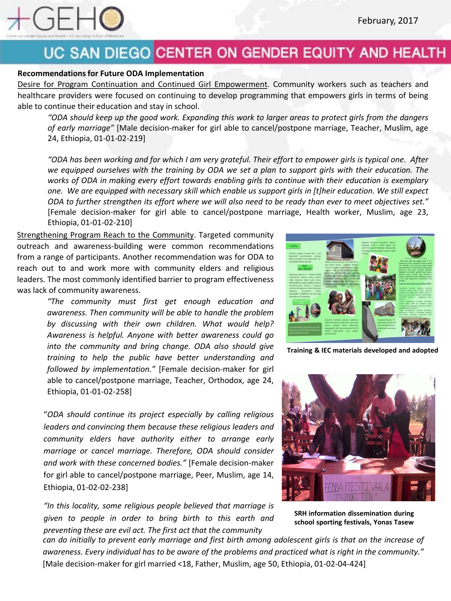

#### **Recommendationsfor Future ODA Implementation**

Desire for Program Continuation and Continued Girl Empowerment. Community workers such as teachers and healthcare providers were focused on continuing to develop programming that empowers girls in terms of being able to continue their education and stay in school.

"ODA should keep up the good work. Expanding this work to larger areas to protect girls from the dangers *of early marriage"* [Male decision-maker for girl able to cancel/postpone marriage, Teacher, Muslim, age 24, Ethiopia, 01-01-02-219]

"ODA has been working and for which I am very grateful. Their effort to empower girls is typical one. After we equipped ourselves with the training by ODA we set a plan to support girls with their education. The *works of ODA in making every effort towards enabling girls to continue with their education is exemplary* one. We are equipped with necessary skill which enable us support girls in [t]heir education. We still expect ODA to further strengthen its effort where we will also need to be ready than ever to meet objectives set." [Female decision-maker for girl able to cancel/postpone marriage, Health worker, Muslim, age 23, Ethiopia, 01-01-02-210]

Strengthening Program Reach to the Community. Targeted community outreach and awareness-building were common recommendations from a range of participants. Another recommendation was for ODA to reach out to and work more with community elders and religious leaders. The most commonly identified barrier to program effectiveness was lack of community awareness.

> *"The community must first get enough education and awareness. Then community will be able to handle the problem by discussing with their own children. What would help? Awareness is helpful. Anyone with better awareness could go into the community and bring change. ODA also should give training to help the public have better understanding and followed by implementation."* [Female decision-maker for girl able to cancel/postpone marriage, Teacher, Orthodox, age 24, Ethiopia, 01-01-02-258]

"*ODA should continue its project especially by calling religious leaders and convincing them because these religious leaders and community elders have authority either to arrange early marriage or cancel marriage. Therefore, ODA should consider and work with these concerned bodies."* [Female decision-maker for girl able to cancel/postpone marriage, Peer, Muslim, age 14, Ethiopia, 01-02-02-238]

*"In this locality, some religious people believed that marriage is given to people in order to bring birth to this earth and preventing these are evil act. The first act that the community*



**Training & IEC materials developed and adopted**



**SRH information dissemination during school sporting festivals, Yonas Tasew**

can do initially to prevent early marriage and first birth among adolescent girls is that on the increase of awareness. Every individual has to be aware of the problems and practiced what is right in the community." [Male decision-maker for girl married <18, Father, Muslim, age 50, Ethiopia, 01-02-04-424]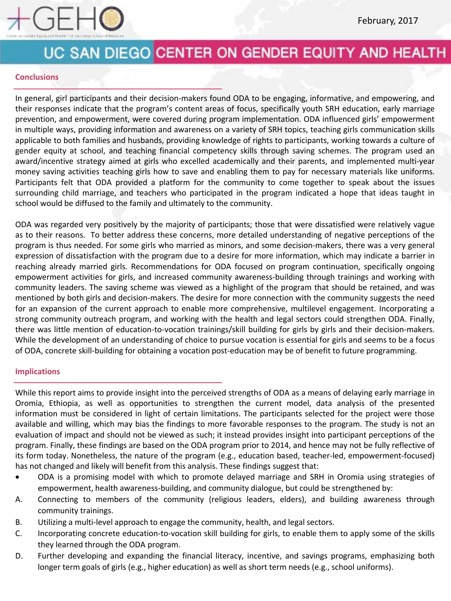

#### **Conclusions**

In general, girl participants and their decision-makers found ODA to be engaging, informative, and empowering, and their responses indicate that the program's content areas of focus, specifically youth SRH education, early marriage prevention, and empowerment, were covered during program implementation. ODA influenced girls' empowerment in multiple ways, providing information and awareness on a variety of SRH topics, teaching girls communication skills applicable to both families and husbands, providing knowledge of rights to participants, working towards a culture of gender equity at school, and teaching financial competency skills through saving schemes. The program used an award/incentive strategy aimed at girls who excelled academically and their parents, and implemented multi-year money saving activities teaching girls how to save and enabling them to pay for necessary materials like uniforms. Participants felt that ODA provided a platform for the community to come together to speak about the issues surrounding child marriage, and teachers who participated in the program indicated a hope that ideas taught in school would be diffused to the family and ultimately to the community.

ODA was regarded very positively by the majority of participants; those that were dissatisfied were relatively vague as to their reasons. To better address these concerns, more detailed understanding of negative perceptions of the program is thus needed. For some girls who married as minors, and some decision-makers, there was a very general expression of dissatisfaction with the program due to a desire for more information, which may indicate a barrier in reaching already married girls. Recommendations for ODA focused on program continuation, specifically ongoing empowerment activities for girls, and increased community awareness-building through trainings and working with community leaders. The saving scheme was viewed as a highlight of the program that should be retained, and was mentioned by both girls and decision-makers. The desire for more connection with the community suggests the need for an expansion of the current approach to enable more comprehensive, multilevel engagement. Incorporating a strong community outreach program, and working with the health and legal sectors could strengthen ODA. Finally, there was little mention of education-to-vocation trainings/skill building for girls by girls and their decision-makers. While the development of an understanding of choice to pursue vocation is essential for girls and seems to be a focus of ODA, concrete skill-building for obtaining a vocation post-education may be of benefit to future programming.

#### **Implications**

While this report aims to provide insight into the perceived strengths of ODA as a means of delaying early marriage in Oromia, Ethiopia, as well as opportunities to strengthen the current model, data analysis of the presented information must be considered in light of certain limitations. The participants selected for the project were those available and willing, which may bias the findings to more favorable responses to the program. The study is not an evaluation of impact and should not be viewed as such; it instead provides insight into participant perceptions of the program. Finally, these findings are based on the ODA program prior to 2014, and hence may not be fully reflective of its form today. Nonetheless, the nature of the program (e.g., education based, teacher-led, empowerment-focused) has not changed and likely will benefit from this analysis. These findings suggest that:

- ODA is a promising model with which to promote delayed marriage and SRH in Oromia using strategies of empowerment, health awareness-building, and community dialogue, but could be strengthened by:
- A. Connecting to members of the community (religious leaders, elders), and building awareness through community trainings.
- B. Utilizing a multi-level approach to engage the community, health, and legal sectors.
- C. Incorporating concrete education-to-vocation skill building for girls, to enable them to apply some of the skills they learned through the ODA program.
- D. Further developing and expanding the financial literacy, incentive, and savings programs, emphasizing both longer term goals of girls (e.g., higher education) as well as short term needs (e.g., school uniforms).